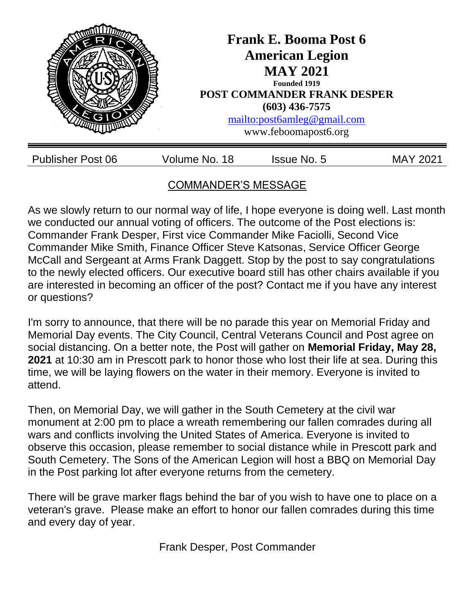

# COMMANDER'S MESSAGE

As we slowly return to our normal way of life, I hope everyone is doing well. Last month we conducted our annual voting of officers. The outcome of the Post elections is: Commander Frank Desper, First vice Commander Mike Faciolli, Second Vice Commander Mike Smith, Finance Officer Steve Katsonas, Service Officer George McCall and Sergeant at Arms Frank Daggett. Stop by the post to say congratulations to the newly elected officers. Our executive board still has other chairs available if you are interested in becoming an officer of the post? Contact me if you have any interest or questions?

I'm sorry to announce, that there will be no parade this year on Memorial Friday and Memorial Day events. The City Council, Central Veterans Council and Post agree on social distancing. On a better note, the Post will gather on **Memorial Friday, May 28, 2021** at 10:30 am in Prescott park to honor those who lost their life at sea. During this time, we will be laying flowers on the water in their memory. Everyone is invited to attend.

Then, on Memorial Day, we will gather in the South Cemetery at the civil war monument at 2:00 pm to place a wreath remembering our fallen comrades during all wars and conflicts involving the United States of America. Everyone is invited to observe this occasion, please remember to social distance while in Prescott park and South Cemetery. The Sons of the American Legion will host a BBQ on Memorial Day in the Post parking lot after everyone returns from the cemetery.

There will be grave marker flags behind the bar of you wish to have one to place on a veteran's grave. Please make an effort to honor our fallen comrades during this time and every day of year.

Frank Desper, Post Commander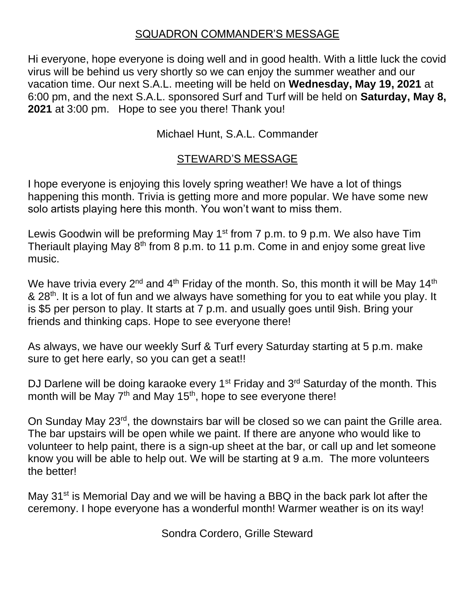#### SQUADRON COMMANDER'S MESSAGE

Hi everyone, hope everyone is doing well and in good health. With a little luck the covid virus will be behind us very shortly so we can enjoy the summer weather and our vacation time. Our next S.A.L. meeting will be held on **Wednesday, May 19, 2021** at 6:00 pm, and the next S.A.L. sponsored Surf and Turf will be held on **Saturday, May 8, 2021** at 3:00 pm. Hope to see you there! Thank you!

Michael Hunt, S.A.L. Commander

# STEWARD'S MESSAGE

I hope everyone is enjoying this lovely spring weather! We have a lot of things happening this month. Trivia is getting more and more popular. We have some new solo artists playing here this month. You won't want to miss them.

Lewis Goodwin will be preforming May  $1<sup>st</sup>$  from 7 p.m. to 9 p.m. We also have Tim Theriault playing May 8<sup>th</sup> from 8 p.m. to 11 p.m. Come in and enjoy some great live music.

We have trivia every  $2^{nd}$  and  $4^{th}$  Friday of the month. So, this month it will be May 14<sup>th</sup> & 28<sup>th</sup>. It is a lot of fun and we always have something for you to eat while you play. It is \$5 per person to play. It starts at 7 p.m. and usually goes until 9ish. Bring your friends and thinking caps. Hope to see everyone there!

As always, we have our weekly Surf & Turf every Saturday starting at 5 p.m. make sure to get here early, so you can get a seat!!

DJ Darlene will be doing karaoke every  $1^{st}$  Friday and  $3^{rd}$  Saturday of the month. This month will be May  $7<sup>th</sup>$  and May 15<sup>th</sup>, hope to see everyone there!

On Sunday May 23<sup>rd</sup>, the downstairs bar will be closed so we can paint the Grille area. The bar upstairs will be open while we paint. If there are anyone who would like to volunteer to help paint, there is a sign-up sheet at the bar, or call up and let someone know you will be able to help out. We will be starting at 9 a.m. The more volunteers the better!

May 31<sup>st</sup> is Memorial Day and we will be having a BBQ in the back park lot after the ceremony. I hope everyone has a wonderful month! Warmer weather is on its way!

Sondra Cordero, Grille Steward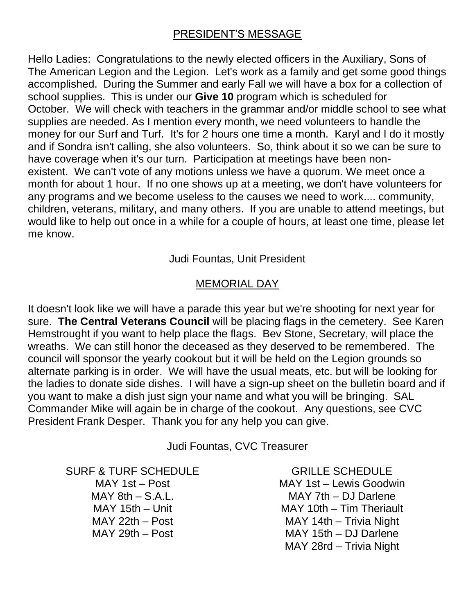### PRESIDENT'S MESSAGE

Hello Ladies: Congratulations to the newly elected officers in the Auxiliary, Sons of The American Legion and the Legion. Let's work as a family and get some good things accomplished. During the Summer and early Fall we will have a box for a collection of school supplies. This is under our **Give 10** program which is scheduled for October. We will check with teachers in the grammar and/or middle school to see what supplies are needed. As I mention every month, we need volunteers to handle the money for our Surf and Turf. It's for 2 hours one time a month. Karyl and I do it mostly and if Sondra isn't calling, she also volunteers. So, think about it so we can be sure to have coverage when it's our turn. Participation at meetings have been nonexistent. We can't vote of any motions unless we have a quorum. We meet once a month for about 1 hour. If no one shows up at a meeting, we don't have volunteers for any programs and we become useless to the causes we need to work.... community, children, veterans, military, and many others. If you are unable to attend meetings, but would like to help out once in a while for a couple of hours, at least one time, please let me know.

Judi Fountas, Unit President

### MEMORIAL DAY

It doesn't look like we will have a parade this year but we're shooting for next year for sure. **The Central Veterans Council** will be placing flags in the cemetery. See Karen Hemstrought if you want to help place the flags. Bev Stone, Secretary, will place the wreaths. We can still honor the deceased as they deserved to be remembered. The council will sponsor the yearly cookout but it will be held on the Legion grounds so alternate parking is in order. We will have the usual meats, etc. but will be looking for the ladies to donate side dishes. I will have a sign-up sheet on the bulletin board and if you want to make a dish just sign your name and what you will be bringing. SAL Commander Mike will again be in charge of the cookout. Any questions, see CVC President Frank Desper. Thank you for any help you can give.

Judi Fountas, CVC Treasurer

SURF & TURF SCHEDULE MAY 1st – Post  $MAX 8th - S.A.L.$ MAY 15th – Unit MAY 22th – Post MAY 29th – Post

GRILLE SCHEDULE MAY 1st – Lewis Goodwin MAY 7th – DJ Darlene MAY 10th – Tim Theriault MAY 14th – Trivia Night MAY 15th – DJ Darlene MAY 28rd – Trivia Night